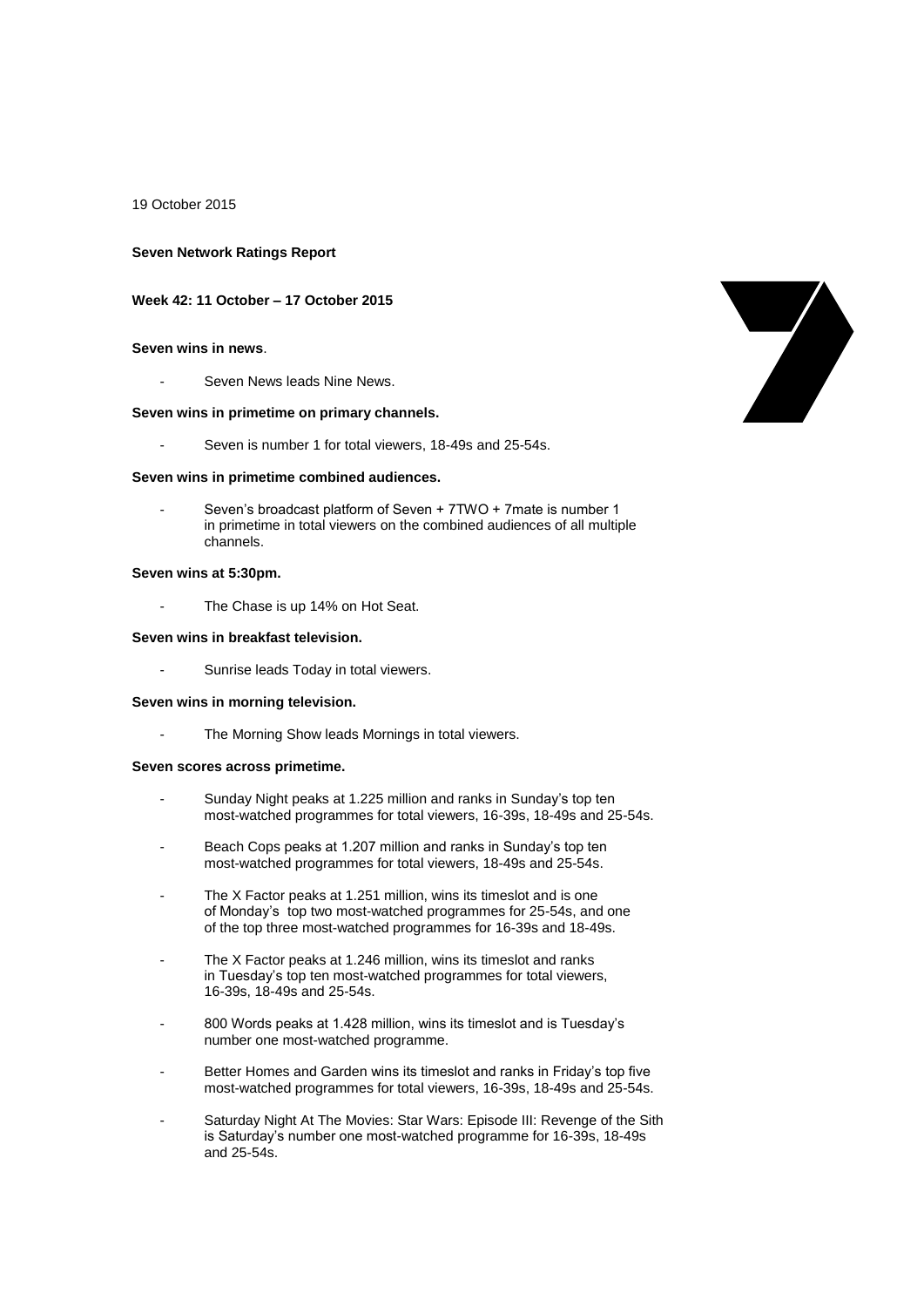19 October 2015

#### **Seven Network Ratings Report**

#### **Week 42: 11 October – 17 October 2015**

## **Seven wins in news**.

Seven News leads Nine News.

# **Seven wins in primetime on primary channels.**

Seven is number 1 for total viewers, 18-49s and 25-54s.

#### **Seven wins in primetime combined audiences.**

Seven's broadcast platform of Seven + 7TWO + 7mate is number 1 in primetime in total viewers on the combined audiences of all multiple channels.

#### **Seven wins at 5:30pm.**

The Chase is up 14% on Hot Seat.

# **Seven wins in breakfast television.**

Sunrise leads Today in total viewers.

#### **Seven wins in morning television.**

- The Morning Show leads Mornings in total viewers.

#### **Seven scores across primetime.**

- Sunday Night peaks at 1.225 million and ranks in Sunday's top ten most-watched programmes for total viewers, 16-39s, 18-49s and 25-54s.
- Beach Cops peaks at 1.207 million and ranks in Sunday's top ten most-watched programmes for total viewers, 18-49s and 25-54s.
- The X Factor peaks at 1.251 million, wins its timeslot and is one of Monday's top two most-watched programmes for 25-54s, and one of the top three most-watched programmes for 16-39s and 18-49s.
- The X Factor peaks at 1.246 million, wins its timeslot and ranks in Tuesday's top ten most-watched programmes for total viewers, 16-39s, 18-49s and 25-54s.
- 800 Words peaks at 1.428 million, wins its timeslot and is Tuesday's number one most-watched programme.
- Better Homes and Garden wins its timeslot and ranks in Friday's top five most-watched programmes for total viewers, 16-39s, 18-49s and 25-54s.
- Saturday Night At The Movies: Star Wars: Episode III: Revenge of the Sith is Saturday's number one most-watched programme for 16-39s, 18-49s and 25-54s.

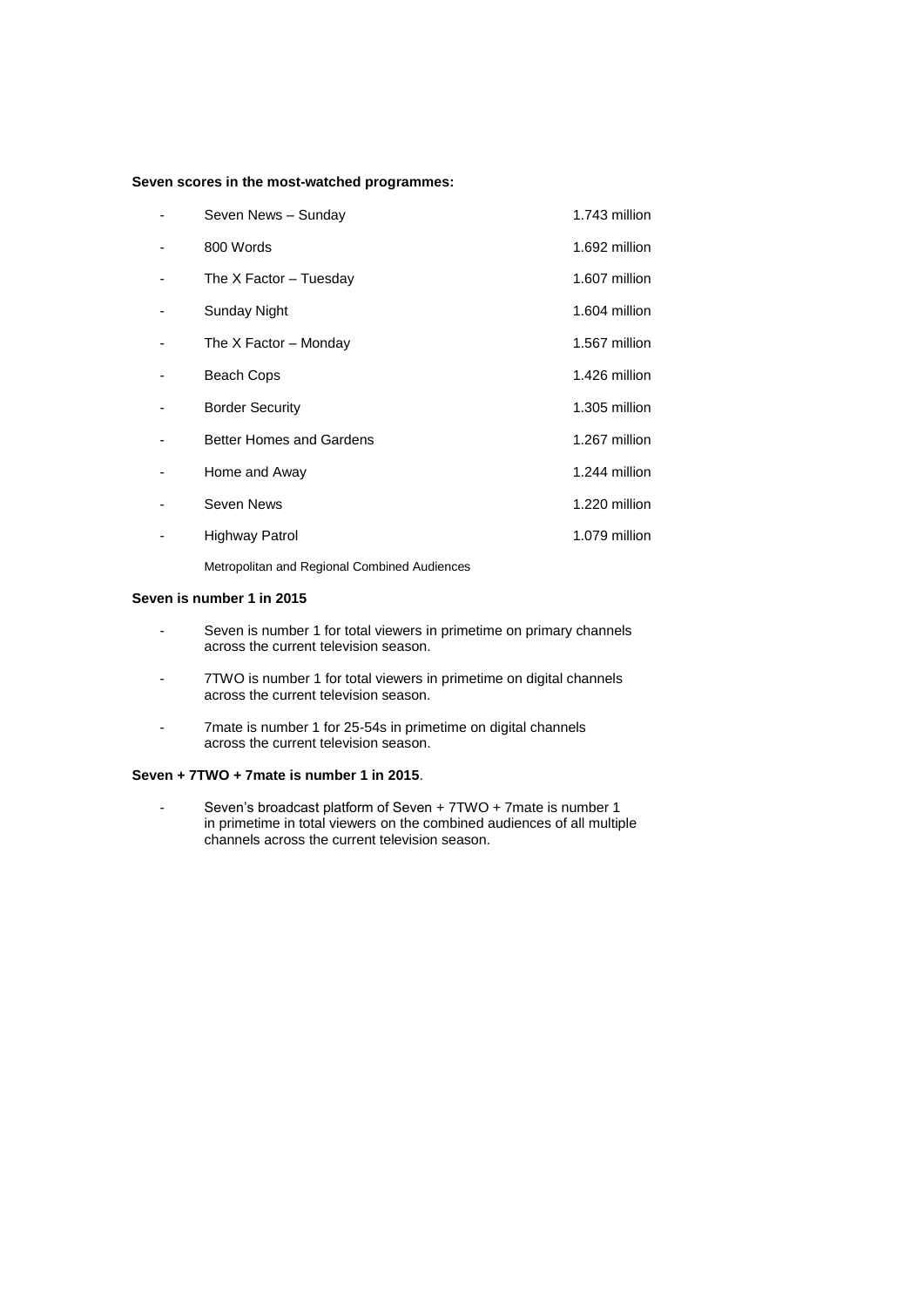# **Seven scores in the most-watched programmes:**

| Seven News - Sunday             | 1.743 million |
|---------------------------------|---------------|
| 800 Words                       | 1.692 million |
| The X Factor - Tuesday          | 1.607 million |
| Sunday Night                    | 1.604 million |
| The X Factor – Monday           | 1.567 million |
| Beach Cops                      | 1.426 million |
| <b>Border Security</b>          | 1.305 million |
| <b>Better Homes and Gardens</b> | 1.267 million |
| Home and Away                   | 1.244 million |
| Seven News                      | 1.220 million |
| Highway Patrol                  | 1.079 million |
|                                 |               |

Metropolitan and Regional Combined Audiences

# **Seven is number 1 in 2015**

- Seven is number 1 for total viewers in primetime on primary channels across the current television season.
- 7TWO is number 1 for total viewers in primetime on digital channels across the current television season.
- 7mate is number 1 for 25-54s in primetime on digital channels across the current television season.

# **Seven + 7TWO + 7mate is number 1 in 2015**.

- Seven's broadcast platform of Seven + 7TWO + 7mate is number 1 in primetime in total viewers on the combined audiences of all multiple channels across the current television season.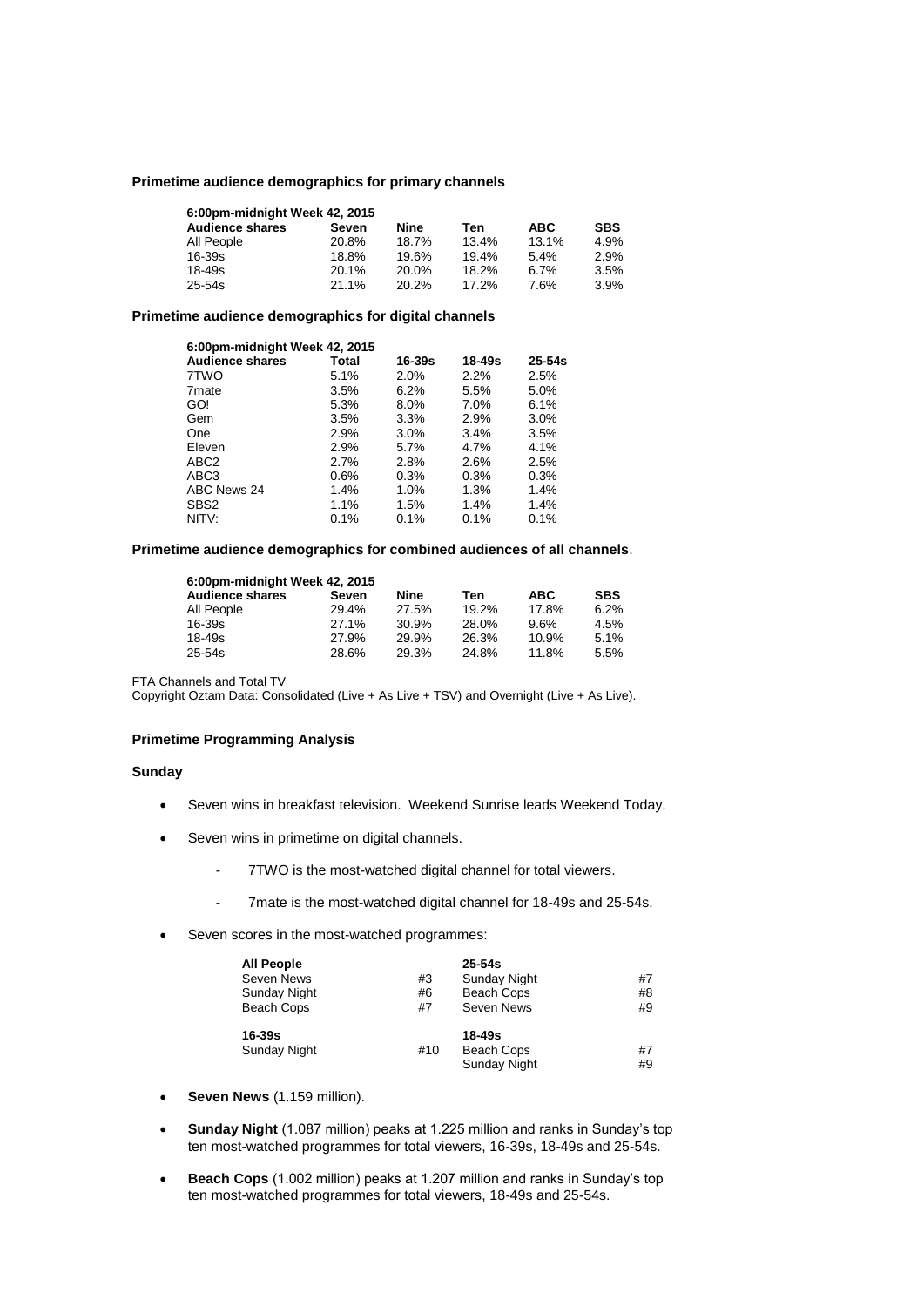# **Primetime audience demographics for primary channels**

| 6:00pm-midnight Week 42, 2015 |       |       |       |            |            |  |  |
|-------------------------------|-------|-------|-------|------------|------------|--|--|
| <b>Audience shares</b>        | Seven | Nine  | Ten   | <b>ABC</b> | <b>SBS</b> |  |  |
| All People                    | 20.8% | 18.7% | 13.4% | 13.1%      | 4.9%       |  |  |
| $16 - 39s$                    | 18.8% | 19.6% | 19.4% | 5.4%       | 2.9%       |  |  |
| $18 - 49s$                    | 20.1% | 20.0% | 18.2% | 6.7%       | 3.5%       |  |  |
| $25 - 54s$                    | 21.1% | 20.2% | 17.2% | 7.6%       | 3.9%       |  |  |

#### **Primetime audience demographics for digital channels**

| 6:00pm-midnight Week 42, 2015 |         |            |            |            |
|-------------------------------|---------|------------|------------|------------|
| <b>Audience shares</b>        | Total   | $16 - 39s$ | $18 - 49s$ | $25 - 54s$ |
| 7TWO                          | 5.1%    | 2.0%       | 2.2%       | 2.5%       |
| 7 <sub>mate</sub>             | 3.5%    | 6.2%       | 5.5%       | 5.0%       |
| GO!                           | 5.3%    | 8.0%       | 7.0%       | 6.1%       |
| Gem                           | 3.5%    | 3.3%       | 2.9%       | 3.0%       |
| One                           | 2.9%    | $3.0\%$    | 3.4%       | 3.5%       |
| Eleven                        | 2.9%    | 5.7%       | 4.7%       | 4.1%       |
| ABC <sub>2</sub>              | 2.7%    | 2.8%       | 2.6%       | 2.5%       |
| ABC3                          | $0.6\%$ | 0.3%       | 0.3%       | 0.3%       |
| ABC News 24                   | 1.4%    | 1.0%       | 1.3%       | 1.4%       |
| SBS <sub>2</sub>              | 1.1%    | 1.5%       | 1.4%       | 1.4%       |
| NITV:                         | $0.1\%$ | 0.1%       | 0.1%       | 0.1%       |

# **Primetime audience demographics for combined audiences of all channels**.

| 6:00pm-midnight Week 42, 2015 |       |       |       |            |            |  |
|-------------------------------|-------|-------|-------|------------|------------|--|
| <b>Audience shares</b>        | Seven | Nine  | Ten   | <b>ABC</b> | <b>SBS</b> |  |
| All People                    | 29.4% | 27.5% | 19.2% | 17.8%      | 6.2%       |  |
| 16-39s                        | 27.1% | 30.9% | 28.0% | 9.6%       | 4.5%       |  |
| 18-49s                        | 27.9% | 29.9% | 26.3% | 10.9%      | 5.1%       |  |
| 25-54s                        | 28.6% | 29.3% | 24.8% | 11.8%      | 5.5%       |  |

FTA Channels and Total TV

Copyright Oztam Data: Consolidated (Live + As Live + TSV) and Overnight (Live + As Live).

# **Primetime Programming Analysis**

## **Sunday**

- Seven wins in breakfast television. Weekend Sunrise leads Weekend Today.
- Seven wins in primetime on digital channels.
	- 7TWO is the most-watched digital channel for total viewers.
	- 7mate is the most-watched digital channel for 18-49s and 25-54s.
- Seven scores in the most-watched programmes:

| <b>All People</b><br>Seven News<br>Sunday Night<br>Beach Cops | #3<br>#6<br>#7 | $25-54s$<br><b>Sunday Night</b><br>Beach Cops<br>Seven News | #7<br>#8<br>#9 |
|---------------------------------------------------------------|----------------|-------------------------------------------------------------|----------------|
| $16 - 39s$<br><b>Sunday Night</b>                             | #10            | $18 - 49s$<br><b>Beach Cops</b><br>Sunday Night             | #7<br>#9       |

- **Seven News** (1.159 million).
- **Sunday Night** (1.087 million) peaks at 1.225 million and ranks in Sunday's top ten most-watched programmes for total viewers, 16-39s, 18-49s and 25-54s.
- **Beach Cops** (1.002 million) peaks at 1.207 million and ranks in Sunday's top ten most-watched programmes for total viewers, 18-49s and 25-54s.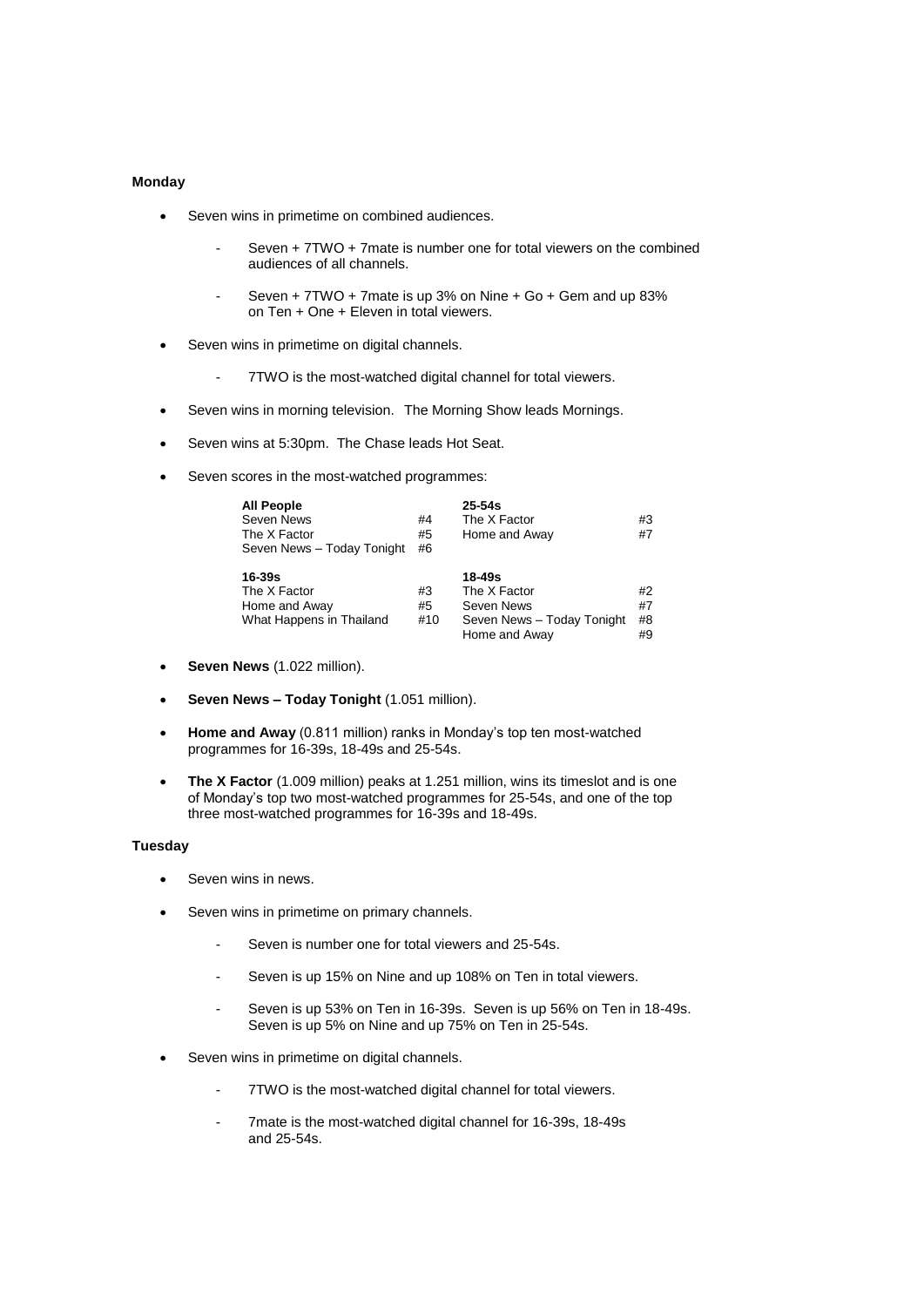### **Monday**

- Seven wins in primetime on combined audiences.
	- Seven + 7TWO + 7mate is number one for total viewers on the combined audiences of all channels.
	- Seven + 7TWO + 7mate is up 3% on Nine + Go + Gem and up 83% on Ten + One + Eleven in total viewers.
- Seven wins in primetime on digital channels.
	- 7TWO is the most-watched digital channel for total viewers.
- Seven wins in morning television. The Morning Show leads Mornings.
- Seven wins at 5:30pm. The Chase leads Hot Seat.
- Seven scores in the most-watched programmes:

| <b>All People</b><br>Seven News<br>The X Factor<br>Seven News - Today Tonight | #4<br>#5<br>#6  | $25 - 54s$<br>The X Factor<br>Home and Away                                         | #3<br>#7             |
|-------------------------------------------------------------------------------|-----------------|-------------------------------------------------------------------------------------|----------------------|
| 16-39s<br>The X Factor<br>Home and Away<br>What Happens in Thailand           | #3<br>#5<br>#10 | 18-49s<br>The X Factor<br>Seven News<br>Seven News - Today Tonight<br>Home and Away | #2<br>#7<br>#8<br>#9 |

- **Seven News** (1.022 million).
- **Seven News – Today Tonight** (1.051 million).
- **Home and Away** (0.811 million) ranks in Monday's top ten most-watched programmes for 16-39s, 18-49s and 25-54s.
- **The X Factor** (1.009 million) peaks at 1.251 million, wins its timeslot and is one of Monday's top two most-watched programmes for 25-54s, and one of the top three most-watched programmes for 16-39s and 18-49s.

# **Tuesday**

- Seven wins in news.
- Seven wins in primetime on primary channels.
	- Seven is number one for total viewers and 25-54s.
	- Seven is up 15% on Nine and up 108% on Ten in total viewers.
	- Seven is up 53% on Ten in 16-39s. Seven is up 56% on Ten in 18-49s. Seven is up 5% on Nine and up 75% on Ten in 25-54s.
- Seven wins in primetime on digital channels.
	- 7TWO is the most-watched digital channel for total viewers.
	- 7mate is the most-watched digital channel for 16-39s, 18-49s and 25-54s.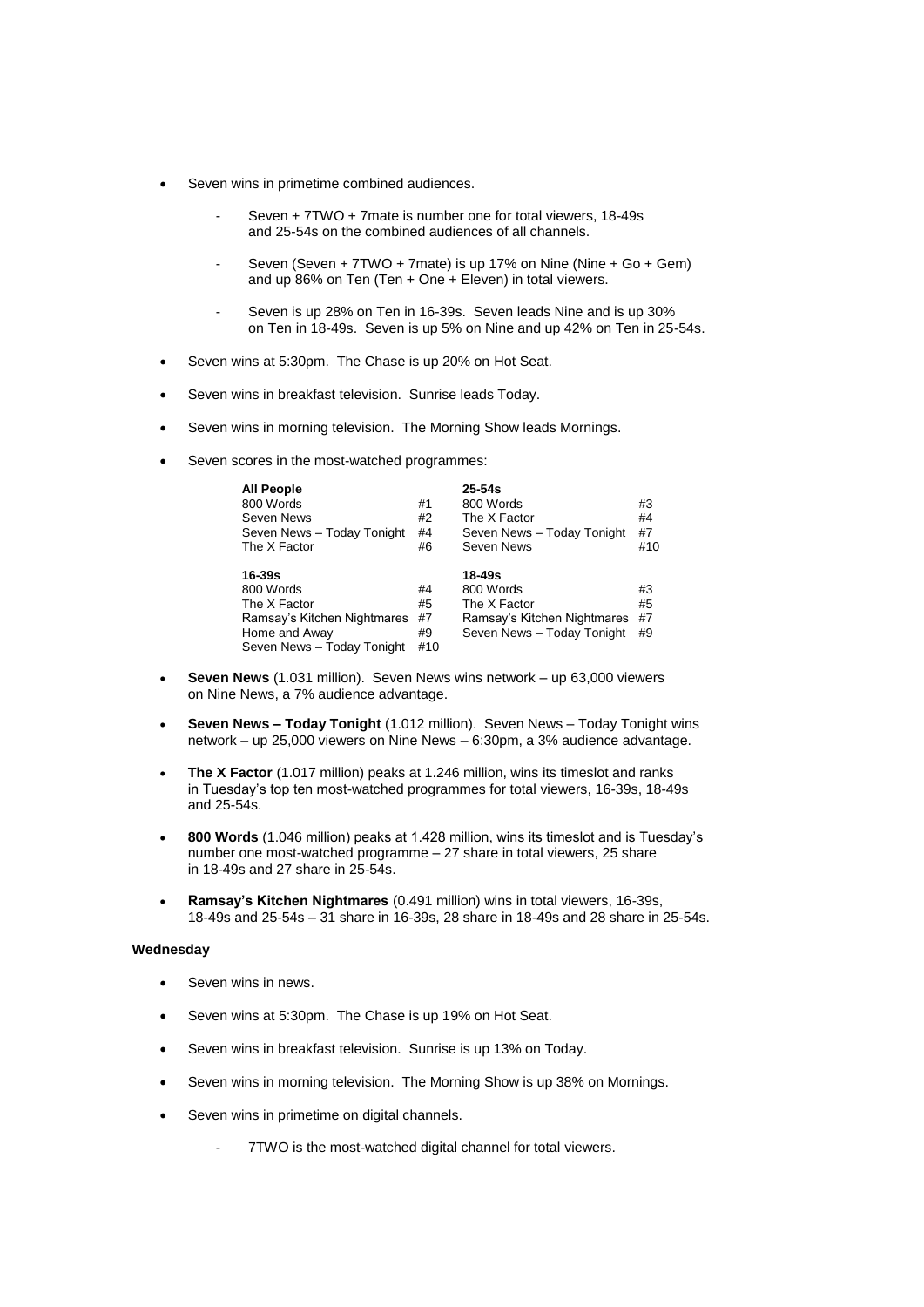- Seven wins in primetime combined audiences.
	- Seven + 7TWO + 7mate is number one for total viewers, 18-49s and 25-54s on the combined audiences of all channels.
	- Seven (Seven + 7TWO + 7mate) is up 17% on Nine (Nine + Go + Gem) and up 86% on Ten (Ten + One + Eleven) in total viewers.
	- Seven is up 28% on Ten in 16-39s. Seven leads Nine and is up 30% on Ten in 18-49s. Seven is up 5% on Nine and up 42% on Ten in 25-54s.
- Seven wins at 5:30pm. The Chase is up 20% on Hot Seat.
- Seven wins in breakfast television. Sunrise leads Today.
- Seven wins in morning television. The Morning Show leads Mornings.
- Seven scores in the most-watched programmes:

| <b>All People</b><br>800 Words                                                                                    | #1                          | $25 - 54s$<br>800 Words                                                                          | #3                   |
|-------------------------------------------------------------------------------------------------------------------|-----------------------------|--------------------------------------------------------------------------------------------------|----------------------|
| Seven News                                                                                                        | #2                          | The X Factor                                                                                     | #4                   |
| Seven News - Today Tonight                                                                                        | #4                          | Seven News - Today Tonight                                                                       | #7                   |
| The X Factor                                                                                                      | #6                          | Seven News                                                                                       | #10                  |
| 16-39s<br>800 Words<br>The X Factor<br>Ramsay's Kitchen Nightmares<br>Home and Away<br>Seven News - Today Tonight | #4<br>#5<br>#7<br>#9<br>#10 | 18-49s<br>800 Words<br>The X Factor<br>Ramsay's Kitchen Nightmares<br>Seven News - Today Tonight | #3<br>#5<br>#7<br>#9 |

- **Seven News** (1.031 million). Seven News wins network up 63,000 viewers on Nine News, a 7% audience advantage.
- **Seven News – Today Tonight** (1.012 million). Seven News Today Tonight wins network – up 25,000 viewers on Nine News – 6:30pm, a 3% audience advantage.
- **The X Factor** (1.017 million) peaks at 1.246 million, wins its timeslot and ranks in Tuesday's top ten most-watched programmes for total viewers, 16-39s, 18-49s and 25-54s.
- **800 Words** (1.046 million) peaks at 1.428 million, wins its timeslot and is Tuesday's number one most-watched programme – 27 share in total viewers, 25 share in 18-49s and 27 share in 25-54s.
- **Ramsay's Kitchen Nightmares** (0.491 million) wins in total viewers, 16-39s, 18-49s and 25-54s – 31 share in 16-39s, 28 share in 18-49s and 28 share in 25-54s.

#### **Wednesday**

- Seven wins in news.
- Seven wins at 5:30pm. The Chase is up 19% on Hot Seat.
- Seven wins in breakfast television. Sunrise is up 13% on Today.
- Seven wins in morning television. The Morning Show is up 38% on Mornings.
- Seven wins in primetime on digital channels.
	- 7TWO is the most-watched digital channel for total viewers.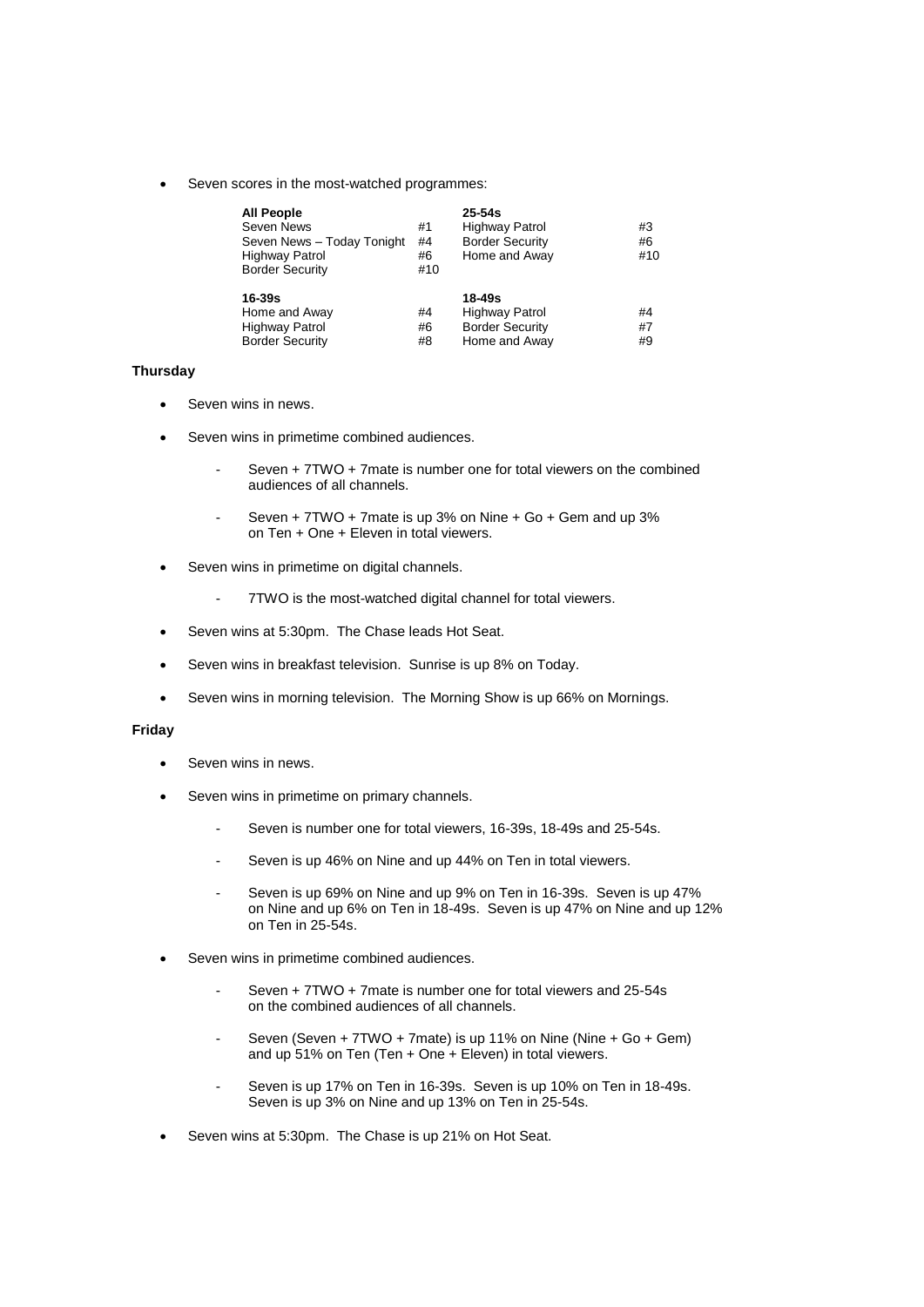Seven scores in the most-watched programmes:

| <b>All People</b><br>Seven News<br>Seven News - Today Tonight<br><b>Highway Patrol</b><br><b>Border Security</b> | #1<br>#4<br>#6<br>#10 | $25 - 54s$<br><b>Highway Patrol</b><br><b>Border Security</b><br>Home and Away | #3<br>#6<br>#10 |
|------------------------------------------------------------------------------------------------------------------|-----------------------|--------------------------------------------------------------------------------|-----------------|
| 16-39s                                                                                                           |                       | 18-49s                                                                         |                 |
| Home and Away                                                                                                    | #4                    | <b>Highway Patrol</b>                                                          | #4              |
| <b>Highway Patrol</b>                                                                                            | #6                    | <b>Border Security</b>                                                         | #7              |
| <b>Border Security</b>                                                                                           | #8                    | Home and Away                                                                  | #9              |

# **Thursday**

- Seven wins in news.
- Seven wins in primetime combined audiences.
	- Seven + 7TWO + 7mate is number one for total viewers on the combined audiences of all channels.
	- Seven + 7TWO + 7mate is up 3% on Nine + Go + Gem and up 3% on Ten + One + Eleven in total viewers.
- Seven wins in primetime on digital channels.
	- 7TWO is the most-watched digital channel for total viewers.
- Seven wins at 5:30pm. The Chase leads Hot Seat.
- Seven wins in breakfast television. Sunrise is up 8% on Today.
- Seven wins in morning television. The Morning Show is up 66% on Mornings.

#### **Friday**

- Seven wins in news.
- Seven wins in primetime on primary channels.
	- Seven is number one for total viewers, 16-39s, 18-49s and 25-54s.
	- Seven is up 46% on Nine and up 44% on Ten in total viewers.
	- Seven is up 69% on Nine and up 9% on Ten in 16-39s. Seven is up 47% on Nine and up 6% on Ten in 18-49s. Seven is up 47% on Nine and up 12% on Ten in 25-54s.
- Seven wins in primetime combined audiences.
	- Seven + 7TWO + 7mate is number one for total viewers and 25-54s on the combined audiences of all channels.
	- Seven (Seven + 7TWO + 7mate) is up 11% on Nine (Nine + Go + Gem) and up 51% on Ten (Ten + One + Eleven) in total viewers.
	- Seven is up 17% on Ten in 16-39s. Seven is up 10% on Ten in 18-49s. Seven is up 3% on Nine and up 13% on Ten in 25-54s.
- Seven wins at 5:30pm. The Chase is up 21% on Hot Seat.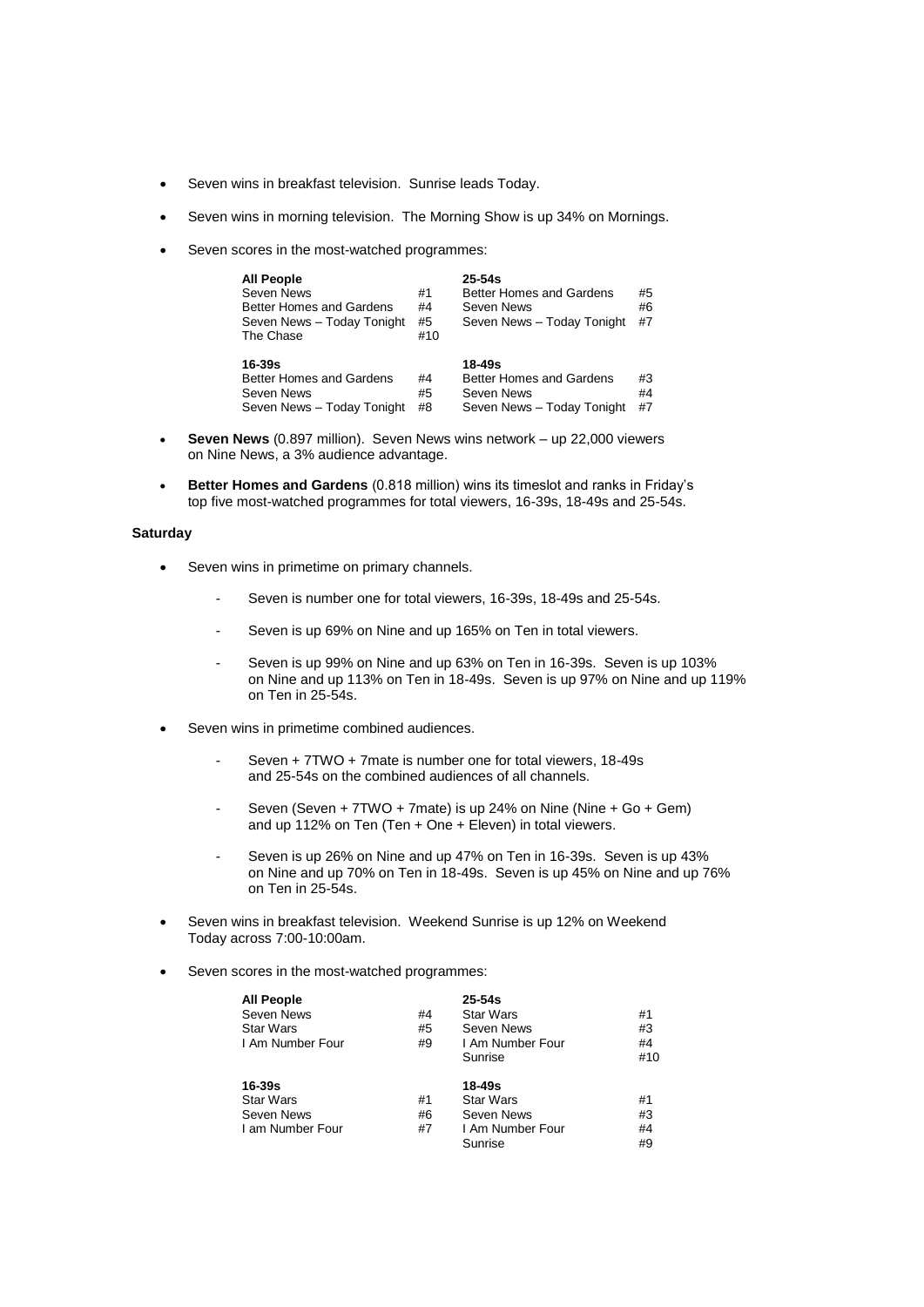- Seven wins in breakfast television. Sunrise leads Today.
- Seven wins in morning television. The Morning Show is up 34% on Mornings.
- Seven scores in the most-watched programmes:

| <b>All People</b><br>Seven News<br><b>Better Homes and Gardens</b><br>Seven News - Today Tonight<br>The Chase | #1<br>#4<br>#5<br>#10 | $25 - 54s$<br>Better Homes and Gardens<br>Seven News<br>Seven News - Today Tonight | #5<br>#6<br>#7 |
|---------------------------------------------------------------------------------------------------------------|-----------------------|------------------------------------------------------------------------------------|----------------|
| 16-39s<br><b>Better Homes and Gardens</b><br>Seven News<br>Seven News - Today Tonight                         | #4<br>#5<br>#8        | $18 - 49s$<br>Better Homes and Gardens<br>Seven News<br>Seven News - Today Tonight | #3<br>#4<br>#7 |

- **Seven News** (0.897 million). Seven News wins network up 22,000 viewers on Nine News, a 3% audience advantage.
- **Better Homes and Gardens** (0.818 million) wins its timeslot and ranks in Friday's top five most-watched programmes for total viewers, 16-39s, 18-49s and 25-54s.

#### **Saturday**

- Seven wins in primetime on primary channels.
	- Seven is number one for total viewers, 16-39s, 18-49s and 25-54s.
	- Seven is up 69% on Nine and up 165% on Ten in total viewers.
	- Seven is up 99% on Nine and up 63% on Ten in 16-39s. Seven is up 103% on Nine and up 113% on Ten in 18-49s. Seven is up 97% on Nine and up 119% on Ten in 25-54s.
- Seven wins in primetime combined audiences.
	- Seven + 7TWO + 7mate is number one for total viewers, 18-49s and 25-54s on the combined audiences of all channels.
	- Seven (Seven + 7TWO + 7mate) is up 24% on Nine (Nine + Go + Gem) and up 112% on Ten (Ten  $+$  One  $+$  Eleven) in total viewers.
	- Seven is up 26% on Nine and up 47% on Ten in 16-39s. Seven is up 43% on Nine and up 70% on Ten in 18-49s. Seven is up 45% on Nine and up 76% on Ten in 25-54s.
- Seven wins in breakfast television. Weekend Sunrise is up 12% on Weekend Today across 7:00-10:00am.
- Seven scores in the most-watched programmes:

| <b>All People</b> |    | $25 - 54s$       |     |
|-------------------|----|------------------|-----|
| Seven News        | #4 | <b>Star Wars</b> | #1  |
| <b>Star Wars</b>  | #5 | Seven News       | #3  |
| I Am Number Four  | #9 | I Am Number Four | #4  |
|                   |    | Sunrise          | #10 |
| $16 - 39s$        |    | 18-49s           |     |
| <b>Star Wars</b>  | #1 | <b>Star Wars</b> | #1  |
| Seven News        | #6 | Seven News       | #3  |
| I am Number Four  | #7 | I Am Number Four | #4  |
|                   |    | Sunrise          | #9  |